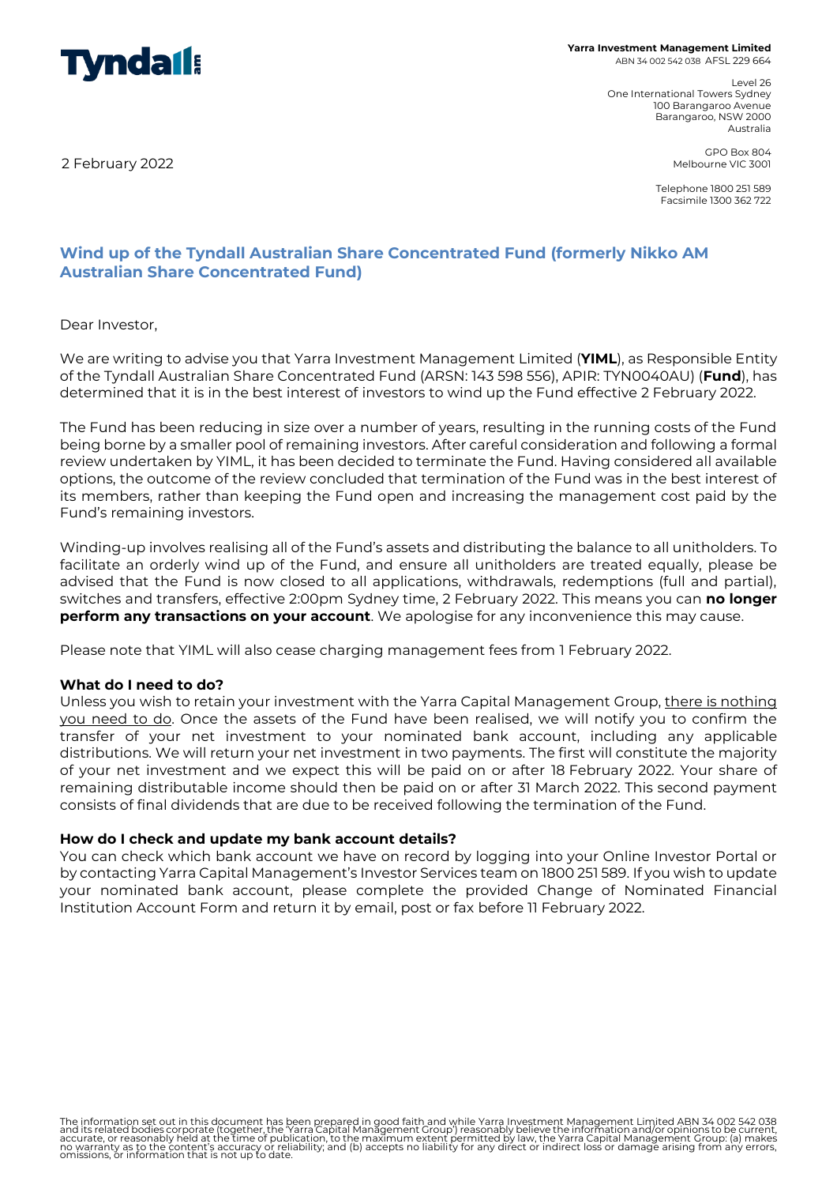

**Yarra Investment Management Limited** ABN 34 002 542 038 AFSL 229 664

> Level 26 One International Towers Sydney 100 Barangaroo Avenue Barangaroo, NSW 2000 Australia

2 February 2022

GPO Box 804 Melbourne VIC 3001

Telephone 1800 251 589 Facsimile 1300 362 722

# **Wind up of the Tyndall Australian Share Concentrated Fund (formerly Nikko AM Australian Share Concentrated Fund)**

Dear Investor,

We are writing to advise you that Yarra Investment Management Limited (**YIML**), as Responsible Entity of the Tyndall Australian Share Concentrated Fund (ARSN: 143 598 556), APIR: TYN0040AU) (**Fund**), has determined that it is in the best interest of investors to wind up the Fund effective 2 February 2022.

The Fund has been reducing in size over a number of years, resulting in the running costs of the Fund being borne by a smaller pool of remaining investors. After careful consideration and following a formal review undertaken by YIML, it has been decided to terminate the Fund. Having considered all available options, the outcome of the review concluded that termination of the Fund was in the best interest of its members, rather than keeping the Fund open and increasing the management cost paid by the Fund's remaining investors.

Winding-up involves realising all of the Fund's assets and distributing the balance to all unitholders. To facilitate an orderly wind up of the Fund, and ensure all unitholders are treated equally, please be advised that the Fund is now closed to all applications, withdrawals, redemptions (full and partial), switches and transfers, effective 2:00pm Sydney time, 2 February 2022. This means you can **no longer perform any transactions on your account**. We apologise for any inconvenience this may cause.

Please note that YIML will also cease charging management fees from 1 February 2022.

## **What do I need to do?**

Unless you wish to retain your investment with the Yarra Capital Management Group, there is nothing you need to do. Once the assets of the Fund have been realised, we will notify you to confirm the transfer of your net investment to your nominated bank account, including any applicable distributions. We will return your net investment in two payments. The first will constitute the majority of your net investment and we expect this will be paid on or after 18 February 2022. Your share of remaining distributable income should then be paid on or after 31 March 2022. This second payment consists of final dividends that are due to be received following the termination of the Fund.

## **How do I check and update my bank account details?**

You can check which bank account we have on record by logging into your Online Investor Portal or by contacting Yarra Capital Management's Investor Services team on 1800 251 589. If you wish to update your nominated bank account, please complete the provided Change of Nominated Financial Institution Account Form and return it by email, post or fax before 11 February 2022.